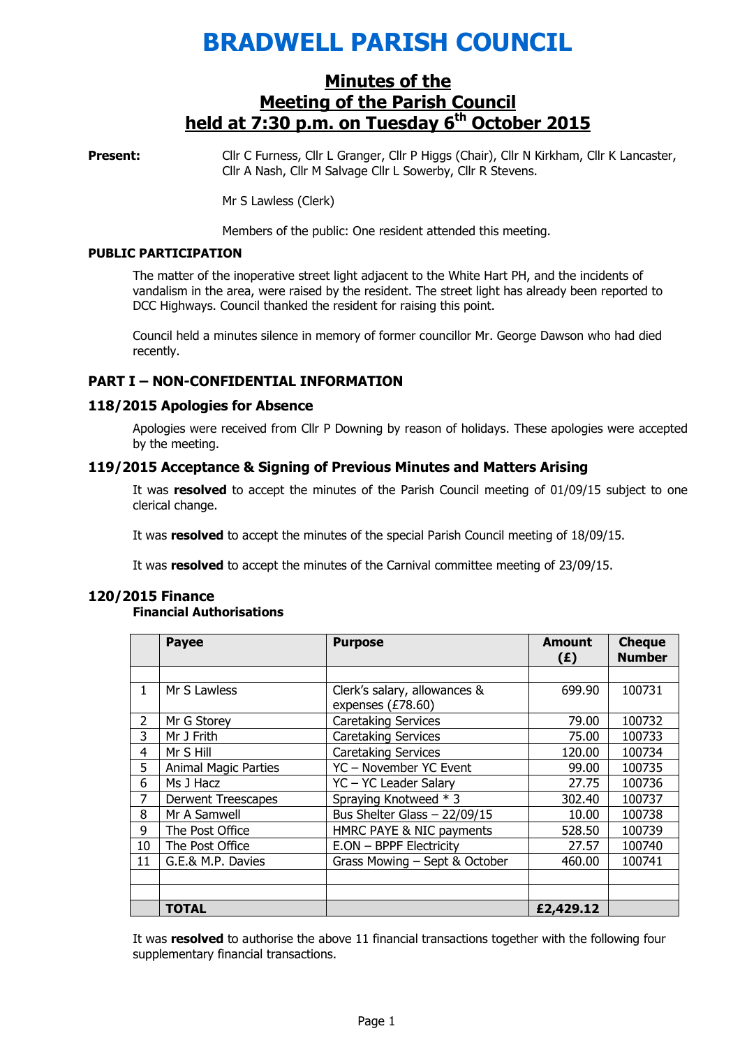# BRADWELL PARISH COUNCIL

# Minutes of the Meeting of the Parish Council held at  $7:30$  p.m. on Tuesday  $6<sup>th</sup>$  October 2015

Present: Cllr C Furness, Cllr L Granger, Cllr P Higgs (Chair), Cllr N Kirkham, Cllr K Lancaster, Cllr A Nash, Cllr M Salvage Cllr L Sowerby, Cllr R Stevens.

Mr S Lawless (Clerk)

Members of the public: One resident attended this meeting.

#### PUBLIC PARTICIPATION

The matter of the inoperative street light adjacent to the White Hart PH, and the incidents of vandalism in the area, were raised by the resident. The street light has already been reported to DCC Highways. Council thanked the resident for raising this point.

Council held a minutes silence in memory of former councillor Mr. George Dawson who had died recently.

## PART I – NON-CONFIDENTIAL INFORMATION

## 118/2015 Apologies for Absence

 Apologies were received from Cllr P Downing by reason of holidays. These apologies were accepted by the meeting.

## 119/2015 Acceptance & Signing of Previous Minutes and Matters Arising

It was resolved to accept the minutes of the Parish Council meeting of 01/09/15 subject to one clerical change.

It was resolved to accept the minutes of the special Parish Council meeting of 18/09/15.

It was resolved to accept the minutes of the Carnival committee meeting of 23/09/15.

#### 120/2015 Finance

#### Financial Authorisations

|                | <b>Payee</b>                                 | <b>Purpose</b>                | <b>Amount</b><br>(E) | <b>Cheque</b><br><b>Number</b> |
|----------------|----------------------------------------------|-------------------------------|----------------------|--------------------------------|
|                |                                              |                               |                      |                                |
| 1.             | Mr S Lawless<br>Clerk's salary, allowances & |                               | 699.90               | 100731                         |
|                |                                              | expenses (£78.60)             |                      |                                |
| $\overline{2}$ | Mr G Storey                                  | <b>Caretaking Services</b>    | 79.00                | 100732                         |
| 3              | Mr J Frith                                   | <b>Caretaking Services</b>    | 75.00                | 100733                         |
| 4              | Mr S Hill                                    | <b>Caretaking Services</b>    | 120.00               | 100734                         |
| 5              | <b>Animal Magic Parties</b>                  | YC - November YC Event        | 99.00                | 100735                         |
| 6              | Ms J Hacz                                    | YC - YC Leader Salary         | 27.75                | 100736                         |
| 7              | <b>Derwent Treescapes</b>                    | Spraying Knotweed * 3         | 302.40               | 100737                         |
| 8              | Mr A Samwell                                 | Bus Shelter Glass $-22/09/15$ | 10.00                | 100738                         |
| 9              | The Post Office                              | HMRC PAYE & NIC payments      | 528.50               | 100739                         |
| 10             | The Post Office                              | E.ON - BPPF Electricity       | 27.57                | 100740                         |
| 11             | G.E.& M.P. Davies                            | Grass Mowing - Sept & October | 460.00               | 100741                         |
|                |                                              |                               |                      |                                |
|                |                                              |                               |                      |                                |
|                | <b>TOTAL</b>                                 |                               | £2,429.12            |                                |

It was resolved to authorise the above 11 financial transactions together with the following four supplementary financial transactions.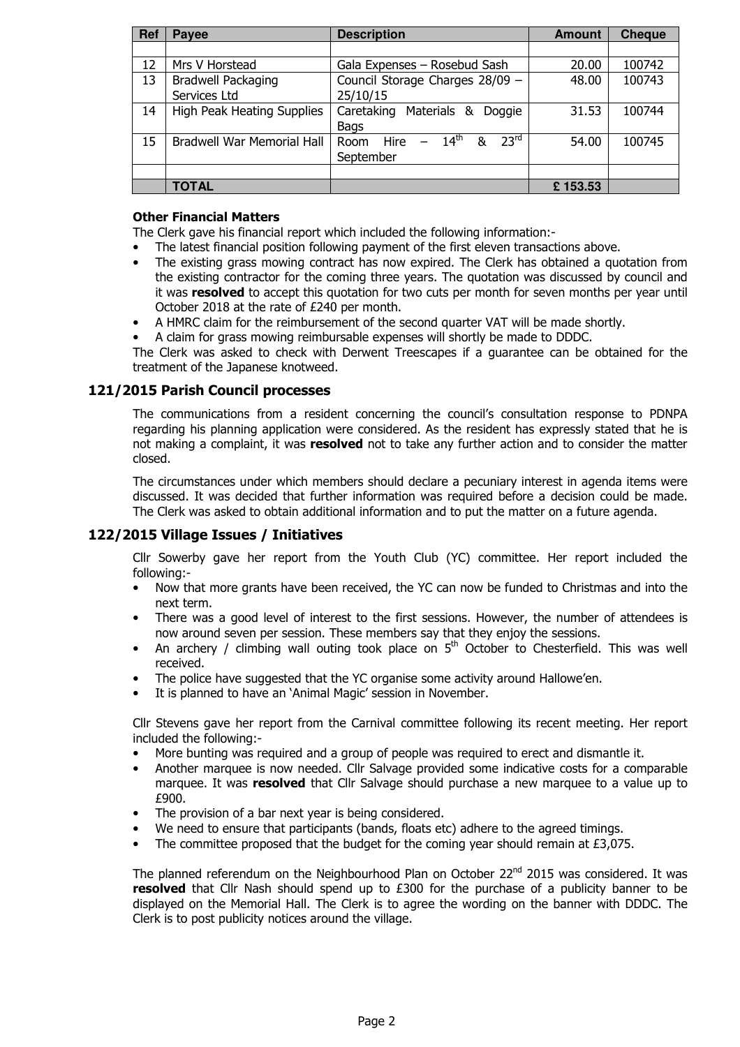| Ref | Payee                                     | <b>Description</b>                                               | <b>Amount</b> | <b>Cheque</b> |
|-----|-------------------------------------------|------------------------------------------------------------------|---------------|---------------|
|     |                                           |                                                                  |               |               |
| 12  | Mrs V Horstead                            | Gala Expenses - Rosebud Sash                                     | 20.00         | 100742        |
| 13  | <b>Bradwell Packaging</b><br>Services Ltd | Council Storage Charges 28/09 -<br>25/10/15                      | 48.00         | 100743        |
| 14  | <b>High Peak Heating Supplies</b>         | Caretaking Materials &<br>Doggie<br><b>Bags</b>                  | 31.53         | 100744        |
| 15  | <b>Bradwell War Memorial Hall</b>         | $-14^{th}$<br>23 <sup>rd</sup><br>8<br>Hire<br>Room<br>September | 54.00         | 100745        |
|     |                                           |                                                                  |               |               |
|     | <b>TOTAL</b>                              |                                                                  | £153.53       |               |

## Other Financial Matters

The Clerk gave his financial report which included the following information:-

- The latest financial position following payment of the first eleven transactions above.
- The existing grass mowing contract has now expired. The Clerk has obtained a quotation from the existing contractor for the coming three years. The quotation was discussed by council and it was resolved to accept this quotation for two cuts per month for seven months per year until October 2018 at the rate of £240 per month.
- A HMRC claim for the reimbursement of the second quarter VAT will be made shortly.
- A claim for grass mowing reimbursable expenses will shortly be made to DDDC.

The Clerk was asked to check with Derwent Treescapes if a guarantee can be obtained for the treatment of the Japanese knotweed.

## 121/2015 Parish Council processes

The communications from a resident concerning the council's consultation response to PDNPA regarding his planning application were considered. As the resident has expressly stated that he is not making a complaint, it was resolved not to take any further action and to consider the matter closed.

The circumstances under which members should declare a pecuniary interest in agenda items were discussed. It was decided that further information was required before a decision could be made. The Clerk was asked to obtain additional information and to put the matter on a future agenda.

## 122/2015 Village Issues / Initiatives

Cllr Sowerby gave her report from the Youth Club (YC) committee. Her report included the following:-

- Now that more grants have been received, the YC can now be funded to Christmas and into the next term.
- There was a good level of interest to the first sessions. However, the number of attendees is now around seven per session. These members say that they enjoy the sessions.
- An archery / climbing wall outing took place on  $5<sup>th</sup>$  October to Chesterfield. This was well received.
- The police have suggested that the YC organise some activity around Hallowe'en.
- It is planned to have an 'Animal Magic' session in November.

Cllr Stevens gave her report from the Carnival committee following its recent meeting. Her report included the following:-

- More bunting was required and a group of people was required to erect and dismantle it.
- Another marquee is now needed. Cllr Salvage provided some indicative costs for a comparable marquee. It was resolved that Cllr Salvage should purchase a new marquee to a value up to £900.
- The provision of a bar next year is being considered.
- We need to ensure that participants (bands, floats etc) adhere to the agreed timings.
- The committee proposed that the budget for the coming year should remain at  $£3,075$ .

The planned referendum on the Neighbourhood Plan on October  $22^{nd}$  2015 was considered. It was resolved that Cllr Nash should spend up to £300 for the purchase of a publicity banner to be displayed on the Memorial Hall. The Clerk is to agree the wording on the banner with DDDC. The Clerk is to post publicity notices around the village.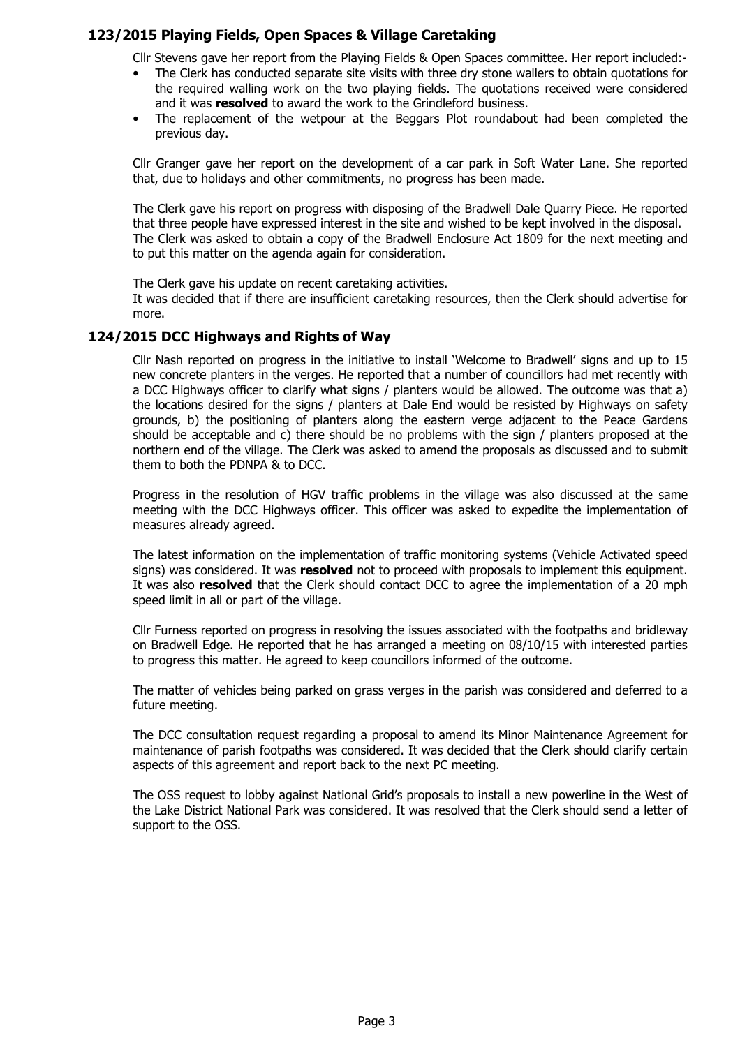## 123/2015 Playing Fields, Open Spaces & Village Caretaking

Cllr Stevens gave her report from the Playing Fields & Open Spaces committee. Her report included:-

- The Clerk has conducted separate site visits with three dry stone wallers to obtain quotations for the required walling work on the two playing fields. The quotations received were considered and it was resolved to award the work to the Grindleford business.
- The replacement of the wetpour at the Beggars Plot roundabout had been completed the previous day.

Cllr Granger gave her report on the development of a car park in Soft Water Lane. She reported that, due to holidays and other commitments, no progress has been made.

The Clerk gave his report on progress with disposing of the Bradwell Dale Quarry Piece. He reported that three people have expressed interest in the site and wished to be kept involved in the disposal. The Clerk was asked to obtain a copy of the Bradwell Enclosure Act 1809 for the next meeting and to put this matter on the agenda again for consideration.

The Clerk gave his update on recent caretaking activities.

It was decided that if there are insufficient caretaking resources, then the Clerk should advertise for more.

## 124/2015 DCC Highways and Rights of Way

Cllr Nash reported on progress in the initiative to install 'Welcome to Bradwell' signs and up to 15 new concrete planters in the verges. He reported that a number of councillors had met recently with a DCC Highways officer to clarify what signs / planters would be allowed. The outcome was that a) the locations desired for the signs / planters at Dale End would be resisted by Highways on safety grounds, b) the positioning of planters along the eastern verge adjacent to the Peace Gardens should be acceptable and c) there should be no problems with the sign / planters proposed at the northern end of the village. The Clerk was asked to amend the proposals as discussed and to submit them to both the PDNPA & to DCC.

Progress in the resolution of HGV traffic problems in the village was also discussed at the same meeting with the DCC Highways officer. This officer was asked to expedite the implementation of measures already agreed.

The latest information on the implementation of traffic monitoring systems (Vehicle Activated speed signs) was considered. It was resolved not to proceed with proposals to implement this equipment. It was also resolved that the Clerk should contact DCC to agree the implementation of a 20 mph speed limit in all or part of the village.

Cllr Furness reported on progress in resolving the issues associated with the footpaths and bridleway on Bradwell Edge. He reported that he has arranged a meeting on 08/10/15 with interested parties to progress this matter. He agreed to keep councillors informed of the outcome.

The matter of vehicles being parked on grass verges in the parish was considered and deferred to a future meeting.

The DCC consultation request regarding a proposal to amend its Minor Maintenance Agreement for maintenance of parish footpaths was considered. It was decided that the Clerk should clarify certain aspects of this agreement and report back to the next PC meeting.

The OSS request to lobby against National Grid's proposals to install a new powerline in the West of the Lake District National Park was considered. It was resolved that the Clerk should send a letter of support to the OSS.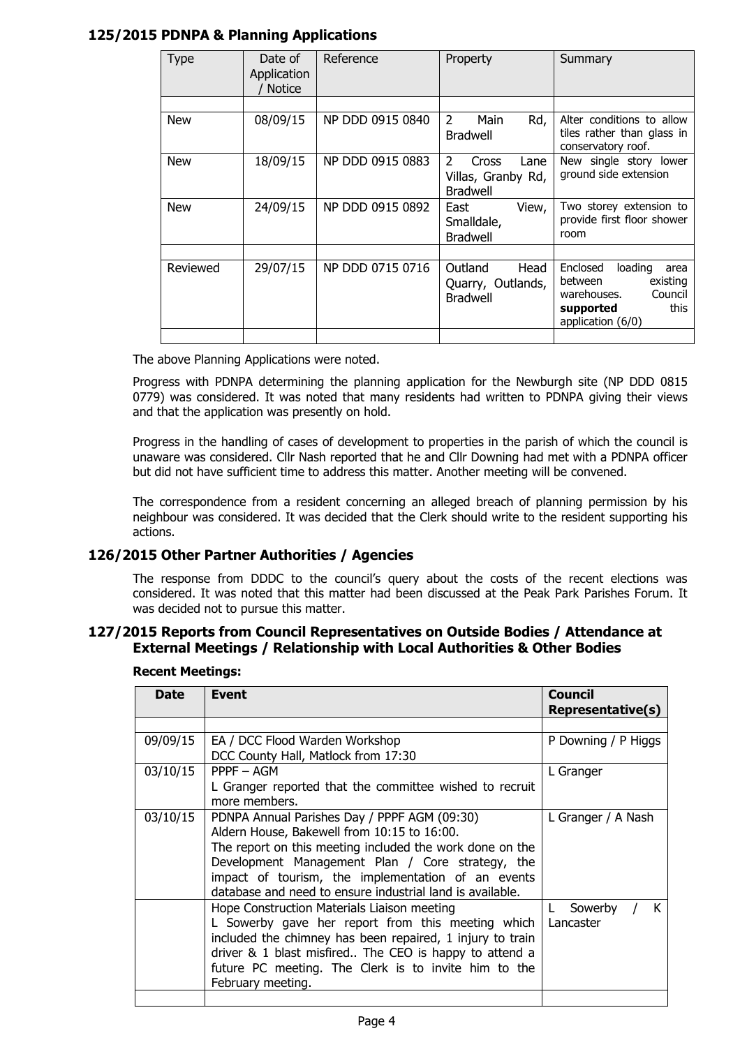## 125/2015 PDNPA & Planning Applications

| Type       | Date of<br>Application<br><b>Notice</b> | Reference        | Property                                                    | Summary                                                                                                                |
|------------|-----------------------------------------|------------------|-------------------------------------------------------------|------------------------------------------------------------------------------------------------------------------------|
|            |                                         |                  |                                                             |                                                                                                                        |
| <b>New</b> | 08/09/15                                | NP DDD 0915 0840 | 2<br>Main<br>Rd,<br><b>Bradwell</b>                         | Alter conditions to allow<br>tiles rather than glass in<br>conservatory roof.                                          |
| <b>New</b> | 18/09/15                                | NP DDD 0915 0883 | 2<br>Cross<br>Lane<br>Villas, Granby Rd,<br><b>Bradwell</b> | New single story lower<br>ground side extension                                                                        |
| <b>New</b> | 24/09/15                                | NP DDD 0915 0892 | East<br>View,<br>Smalldale,<br><b>Bradwell</b>              | Two storey extension to<br>provide first floor shower<br>room                                                          |
|            |                                         |                  |                                                             |                                                                                                                        |
| Reviewed   | 29/07/15                                | NP DDD 0715 0716 | Outland<br>Head<br>Quarry, Outlands,<br><b>Bradwell</b>     | Enclosed<br>loading<br>area<br>between<br>existing<br>Council<br>warehouses.<br>this<br>supported<br>application (6/0) |
|            |                                         |                  |                                                             |                                                                                                                        |

The above Planning Applications were noted.

Progress with PDNPA determining the planning application for the Newburgh site (NP DDD 0815 0779) was considered. It was noted that many residents had written to PDNPA giving their views and that the application was presently on hold.

Progress in the handling of cases of development to properties in the parish of which the council is unaware was considered. Cllr Nash reported that he and Cllr Downing had met with a PDNPA officer but did not have sufficient time to address this matter. Another meeting will be convened.

The correspondence from a resident concerning an alleged breach of planning permission by his neighbour was considered. It was decided that the Clerk should write to the resident supporting his actions.

## 126/2015 Other Partner Authorities / Agencies

The response from DDDC to the council's query about the costs of the recent elections was considered. It was noted that this matter had been discussed at the Peak Park Parishes Forum. It was decided not to pursue this matter.

## 127/2015 Reports from Council Representatives on Outside Bodies / Attendance at External Meetings / Relationship with Local Authorities & Other Bodies

| <b>Date</b> | Event                                                                                                                                                                                                                                                                                                                          | <b>Council</b><br>Representative(s) |
|-------------|--------------------------------------------------------------------------------------------------------------------------------------------------------------------------------------------------------------------------------------------------------------------------------------------------------------------------------|-------------------------------------|
|             |                                                                                                                                                                                                                                                                                                                                |                                     |
| 09/09/15    | EA / DCC Flood Warden Workshop<br>DCC County Hall, Matlock from 17:30                                                                                                                                                                                                                                                          | P Downing / P Higgs                 |
| 03/10/15    | $PPPF - AGM$<br>L Granger reported that the committee wished to recruit<br>more members.                                                                                                                                                                                                                                       | L Granger                           |
| 03/10/15    | PDNPA Annual Parishes Day / PPPF AGM (09:30)<br>Aldern House, Bakewell from 10:15 to 16:00.<br>The report on this meeting included the work done on the<br>Development Management Plan / Core strategy, the<br>impact of tourism, the implementation of an events<br>database and need to ensure industrial land is available. | L Granger / A Nash                  |
|             | Hope Construction Materials Liaison meeting<br>L Sowerby gave her report from this meeting which<br>included the chimney has been repaired, 1 injury to train<br>driver & 1 blast misfired The CEO is happy to attend a<br>future PC meeting. The Clerk is to invite him to the<br>February meeting.                           | Sowerby<br>К<br>L<br>Lancaster      |
|             |                                                                                                                                                                                                                                                                                                                                |                                     |

#### Recent Meetings: